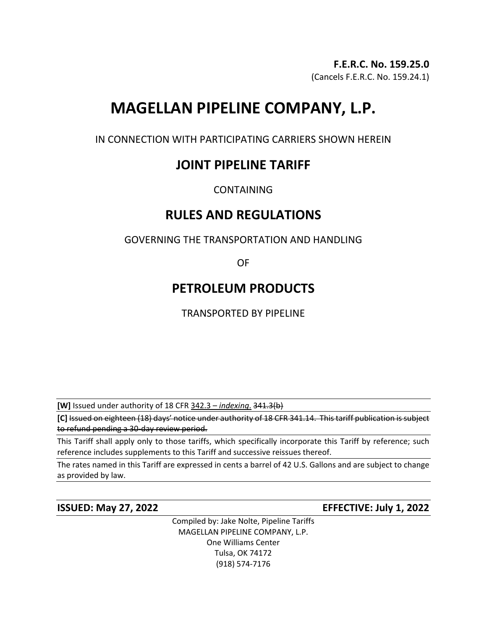## **F.E.R.C. No. 159.25.0**

(Cancels F.E.R.C. No. 159.24.1)

# **MAGELLAN PIPELINE COMPANY, L.P.**

IN CONNECTION WITH PARTICIPATING CARRIERS SHOWN HEREIN

## **JOINT PIPELINE TARIFF**

CONTAINING

## **RULES AND REGULATIONS**

GOVERNING THE TRANSPORTATION AND HANDLING

OF

## **PETROLEUM PRODUCTS**

TRANSPORTED BY PIPELINE

**[W]** Issued under authority of 18 CFR 342.3 – *indexing*. 341.3(b)

**[C]** Issued on eighteen (18) days' notice under authority of 18 CFR 341.14. This tariff publication is subject to refund pending a 30-day review period.

This Tariff shall apply only to those tariffs, which specifically incorporate this Tariff by reference; such reference includes supplements to this Tariff and successive reissues thereof.

The rates named in this Tariff are expressed in cents a barrel of 42 U.S. Gallons and are subject to change as provided by law.

**ISSUED: May 27, 2022 EFFECTIVE: July 1, 2022**

Compiled by: Jake Nolte, Pipeline Tariffs MAGELLAN PIPELINE COMPANY, L.P. One Williams Center Tulsa, OK 74172 (918) 574-7176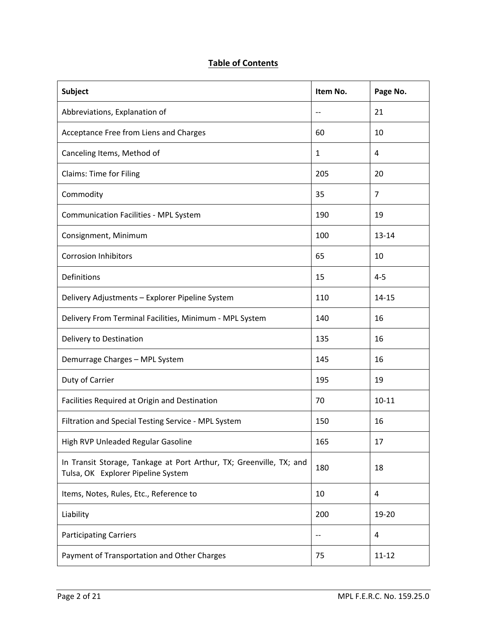## **Table of Contents**

| <b>Subject</b>                                                                                            | Item No.     | Page No.       |
|-----------------------------------------------------------------------------------------------------------|--------------|----------------|
| Abbreviations, Explanation of                                                                             | --           | 21             |
| Acceptance Free from Liens and Charges                                                                    | 60           | 10             |
| Canceling Items, Method of                                                                                | $\mathbf{1}$ | 4              |
| <b>Claims: Time for Filing</b>                                                                            | 205          | 20             |
| Commodity                                                                                                 | 35           | $\overline{7}$ |
| <b>Communication Facilities - MPL System</b>                                                              | 190          | 19             |
| Consignment, Minimum                                                                                      | 100          | $13 - 14$      |
| <b>Corrosion Inhibitors</b>                                                                               | 65           | 10             |
| Definitions                                                                                               | 15           | $4 - 5$        |
| Delivery Adjustments - Explorer Pipeline System                                                           | 110          | $14 - 15$      |
| Delivery From Terminal Facilities, Minimum - MPL System                                                   | 140          | 16             |
| Delivery to Destination                                                                                   | 135          | 16             |
| Demurrage Charges - MPL System                                                                            | 145          | 16             |
| Duty of Carrier                                                                                           | 195          | 19             |
| Facilities Required at Origin and Destination                                                             | 70           | $10 - 11$      |
| Filtration and Special Testing Service - MPL System                                                       | 150          | 16             |
| High RVP Unleaded Regular Gasoline                                                                        | 165          | 17             |
| In Transit Storage, Tankage at Port Arthur, TX; Greenville, TX; and<br>Tulsa, OK Explorer Pipeline System | 180          | 18             |
| Items, Notes, Rules, Etc., Reference to                                                                   | 10           | 4              |
| Liability                                                                                                 | 200          | 19-20          |
| <b>Participating Carriers</b>                                                                             | $-$          | 4              |
| Payment of Transportation and Other Charges                                                               | 75           | $11 - 12$      |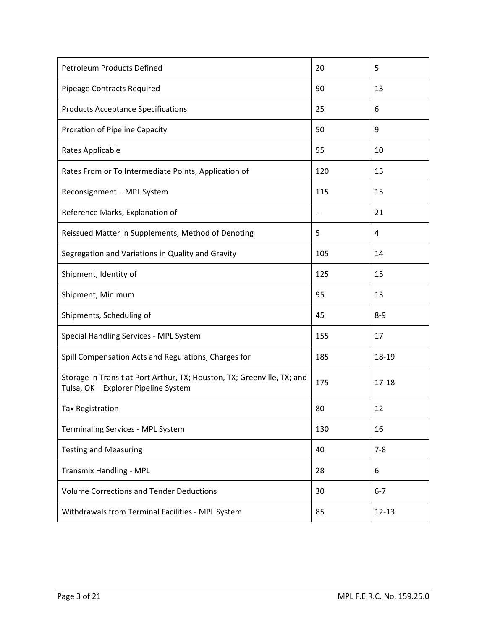| <b>Petroleum Products Defined</b>                                                                               | 20  | 5         |
|-----------------------------------------------------------------------------------------------------------------|-----|-----------|
| Pipeage Contracts Required                                                                                      | 90  | 13        |
| <b>Products Acceptance Specifications</b>                                                                       | 25  | 6         |
| Proration of Pipeline Capacity                                                                                  | 50  | 9         |
| Rates Applicable                                                                                                | 55  | 10        |
| Rates From or To Intermediate Points, Application of                                                            | 120 | 15        |
| Reconsignment - MPL System                                                                                      | 115 | 15        |
| Reference Marks, Explanation of                                                                                 | $-$ | 21        |
| Reissued Matter in Supplements, Method of Denoting                                                              | 5   | 4         |
| Segregation and Variations in Quality and Gravity                                                               | 105 | 14        |
| Shipment, Identity of                                                                                           | 125 | 15        |
| Shipment, Minimum                                                                                               | 95  | 13        |
| Shipments, Scheduling of                                                                                        | 45  | $8 - 9$   |
| Special Handling Services - MPL System                                                                          | 155 | 17        |
| Spill Compensation Acts and Regulations, Charges for                                                            | 185 | 18-19     |
| Storage in Transit at Port Arthur, TX; Houston, TX; Greenville, TX; and<br>Tulsa, OK - Explorer Pipeline System | 175 | $17 - 18$ |
| <b>Tax Registration</b>                                                                                         | 80  | 12        |
| Terminaling Services - MPL System                                                                               | 130 | 16        |
| <b>Testing and Measuring</b>                                                                                    | 40  | $7 - 8$   |
| Transmix Handling - MPL                                                                                         | 28  | 6         |
| <b>Volume Corrections and Tender Deductions</b>                                                                 | 30  | $6 - 7$   |
| Withdrawals from Terminal Facilities - MPL System                                                               | 85  | $12 - 13$ |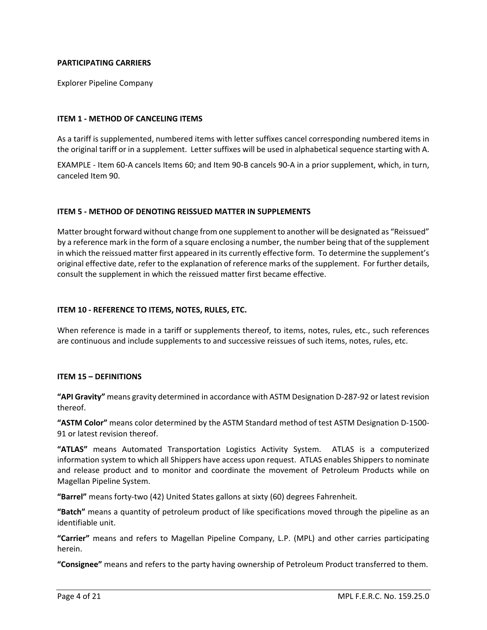#### **PARTICIPATING CARRIERS**

Explorer Pipeline Company

#### **ITEM 1 - METHOD OF CANCELING ITEMS**

As a tariff is supplemented, numbered items with letter suffixes cancel corresponding numbered items in the original tariff or in a supplement. Letter suffixes will be used in alphabetical sequence starting with A.

EXAMPLE - Item 60-A cancels Items 60; and Item 90-B cancels 90-A in a prior supplement, which, in turn, canceled Item 90.

#### **ITEM 5 - METHOD OF DENOTING REISSUED MATTER IN SUPPLEMENTS**

Matter brought forward without change from one supplement to another will be designated as "Reissued" by a reference mark in the form of a square enclosing a number, the number being that of the supplement in which the reissued matter first appeared in its currently effective form. To determine the supplement's original effective date, refer to the explanation of reference marks of the supplement. For further details, consult the supplement in which the reissued matter first became effective.

#### **ITEM 10 - REFERENCE TO ITEMS, NOTES, RULES, ETC.**

When reference is made in a tariff or supplements thereof, to items, notes, rules, etc., such references are continuous and include supplements to and successive reissues of such items, notes, rules, etc.

#### **ITEM 15 – DEFINITIONS**

**"API Gravity"** means gravity determined in accordance with ASTM Designation D-287-92 or latest revision thereof.

**"ASTM Color"** means color determined by the ASTM Standard method of test ASTM Designation D-1500- 91 or latest revision thereof.

**"ATLAS"** means Automated Transportation Logistics Activity System. ATLAS is a computerized information system to which all Shippers have access upon request. ATLAS enables Shippers to nominate and release product and to monitor and coordinate the movement of Petroleum Products while on Magellan Pipeline System.

**"Barrel"** means forty-two (42) United States gallons at sixty (60) degrees Fahrenheit.

**"Batch"** means a quantity of petroleum product of like specifications moved through the pipeline as an identifiable unit.

**"Carrier"** means and refers to Magellan Pipeline Company, L.P. (MPL) and other carries participating herein.

**"Consignee"** means and refers to the party having ownership of Petroleum Product transferred to them.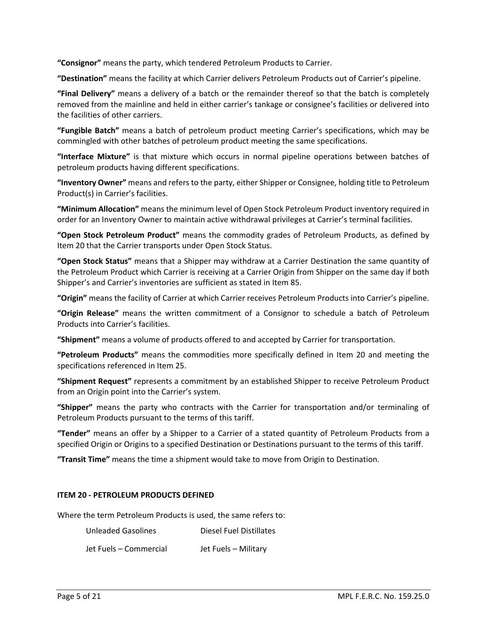**"Consignor"** means the party, which tendered Petroleum Products to Carrier.

**"Destination"** means the facility at which Carrier delivers Petroleum Products out of Carrier's pipeline.

**"Final Delivery"** means a delivery of a batch or the remainder thereof so that the batch is completely removed from the mainline and held in either carrier's tankage or consignee's facilities or delivered into the facilities of other carriers.

**"Fungible Batch"** means a batch of petroleum product meeting Carrier's specifications, which may be commingled with other batches of petroleum product meeting the same specifications.

**"Interface Mixture"** is that mixture which occurs in normal pipeline operations between batches of petroleum products having different specifications.

**"Inventory Owner"** means and refers to the party, either Shipper or Consignee, holding title to Petroleum Product(s) in Carrier's facilities.

**"Minimum Allocation"** means the minimum level of Open Stock Petroleum Product inventory required in order for an Inventory Owner to maintain active withdrawal privileges at Carrier's terminal facilities.

**"Open Stock Petroleum Product"** means the commodity grades of Petroleum Products, as defined by Item 20 that the Carrier transports under Open Stock Status.

**"Open Stock Status"** means that a Shipper may withdraw at a Carrier Destination the same quantity of the Petroleum Product which Carrier is receiving at a Carrier Origin from Shipper on the same day if both Shipper's and Carrier's inventories are sufficient as stated in Item 85.

**"Origin"** means the facility of Carrier at which Carrier receives Petroleum Products into Carrier's pipeline.

**"Origin Release"** means the written commitment of a Consignor to schedule a batch of Petroleum Products into Carrier's facilities.

**"Shipment"** means a volume of products offered to and accepted by Carrier for transportation.

**"Petroleum Products"** means the commodities more specifically defined in Item 20 and meeting the specifications referenced in Item 25.

**"Shipment Request"** represents a commitment by an established Shipper to receive Petroleum Product from an Origin point into the Carrier's system.

**"Shipper"** means the party who contracts with the Carrier for transportation and/or terminaling of Petroleum Products pursuant to the terms of this tariff.

**"Tender"** means an offer by a Shipper to a Carrier of a stated quantity of Petroleum Products from a specified Origin or Origins to a specified Destination or Destinations pursuant to the terms of this tariff.

**"Transit Time"** means the time a shipment would take to move from Origin to Destination.

#### **ITEM 20 - PETROLEUM PRODUCTS DEFINED**

Where the term Petroleum Products is used, the same refers to:

Unleaded Gasolines Diesel Fuel Distillates

Jet Fuels – Commercial Jet Fuels – Military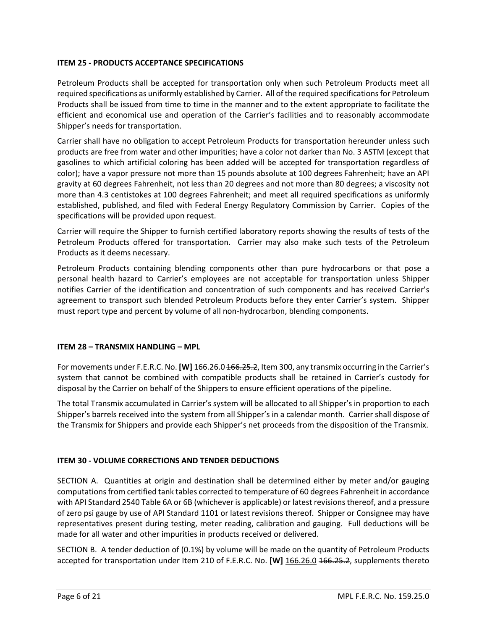### **ITEM 25 - PRODUCTS ACCEPTANCE SPECIFICATIONS**

Petroleum Products shall be accepted for transportation only when such Petroleum Products meet all required specifications as uniformly established by Carrier. All of the required specifications for Petroleum Products shall be issued from time to time in the manner and to the extent appropriate to facilitate the efficient and economical use and operation of the Carrier's facilities and to reasonably accommodate Shipper's needs for transportation.

Carrier shall have no obligation to accept Petroleum Products for transportation hereunder unless such products are free from water and other impurities; have a color not darker than No. 3 ASTM (except that gasolines to which artificial coloring has been added will be accepted for transportation regardless of color); have a vapor pressure not more than 15 pounds absolute at 100 degrees Fahrenheit; have an API gravity at 60 degrees Fahrenheit, not less than 20 degrees and not more than 80 degrees; a viscosity not more than 4.3 centistokes at 100 degrees Fahrenheit; and meet all required specifications as uniformly established, published, and filed with Federal Energy Regulatory Commission by Carrier. Copies of the specifications will be provided upon request.

Carrier will require the Shipper to furnish certified laboratory reports showing the results of tests of the Petroleum Products offered for transportation. Carrier may also make such tests of the Petroleum Products as it deems necessary.

Petroleum Products containing blending components other than pure hydrocarbons or that pose a personal health hazard to Carrier's employees are not acceptable for transportation unless Shipper notifies Carrier of the identification and concentration of such components and has received Carrier's agreement to transport such blended Petroleum Products before they enter Carrier's system. Shipper must report type and percent by volume of all non-hydrocarbon, blending components.

#### **ITEM 28 – TRANSMIX HANDLING – MPL**

For movements under F.E.R.C. No. **[W]** 166.26.0 166.25.2, Item 300, any transmix occurring in the Carrier's system that cannot be combined with compatible products shall be retained in Carrier's custody for disposal by the Carrier on behalf of the Shippers to ensure efficient operations of the pipeline.

The total Transmix accumulated in Carrier's system will be allocated to all Shipper's in proportion to each Shipper's barrels received into the system from all Shipper's in a calendar month. Carrier shall dispose of the Transmix for Shippers and provide each Shipper's net proceeds from the disposition of the Transmix.

## **ITEM 30 - VOLUME CORRECTIONS AND TENDER DEDUCTIONS**

SECTION A. Quantities at origin and destination shall be determined either by meter and/or gauging computations from certified tank tables corrected to temperature of 60 degrees Fahrenheit in accordance with API Standard 2540 Table 6A or 6B (whichever is applicable) or latest revisions thereof, and a pressure of zero psi gauge by use of API Standard 1101 or latest revisions thereof. Shipper or Consignee may have representatives present during testing, meter reading, calibration and gauging. Full deductions will be made for all water and other impurities in products received or delivered.

SECTION B. A tender deduction of (0.1%) by volume will be made on the quantity of Petroleum Products accepted for transportation under Item 210 of F.E.R.C. No. **[W]** 166.26.0 466.25.2, supplements thereto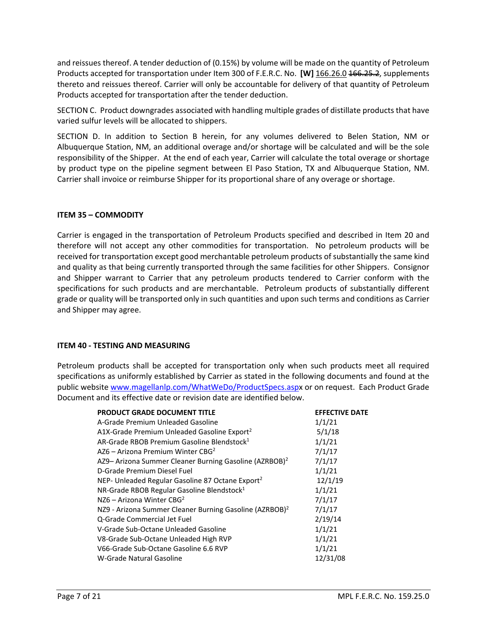and reissues thereof. A tender deduction of (0.15%) by volume will be made on the quantity of Petroleum Products accepted for transportation under Item 300 of F.E.R.C. No. **[W]** 166.26.0 166.25.2, supplements thereto and reissues thereof. Carrier will only be accountable for delivery of that quantity of Petroleum Products accepted for transportation after the tender deduction.

SECTION C. Product downgrades associated with handling multiple grades of distillate products that have varied sulfur levels will be allocated to shippers.

SECTION D. In addition to Section B herein, for any volumes delivered to Belen Station, NM or Albuquerque Station, NM, an additional overage and/or shortage will be calculated and will be the sole responsibility of the Shipper. At the end of each year, Carrier will calculate the total overage or shortage by product type on the pipeline segment between El Paso Station, TX and Albuquerque Station, NM. Carrier shall invoice or reimburse Shipper for its proportional share of any overage or shortage.

#### **ITEM 35 – COMMODITY**

Carrier is engaged in the transportation of Petroleum Products specified and described in Item 20 and therefore will not accept any other commodities for transportation. No petroleum products will be received for transportation except good merchantable petroleum products of substantially the same kind and quality as that being currently transported through the same facilities for other Shippers. Consignor and Shipper warrant to Carrier that any petroleum products tendered to Carrier conform with the specifications for such products and are merchantable. Petroleum products of substantially different grade or quality will be transported only in such quantities and upon such terms and conditions as Carrier and Shipper may agree.

#### **ITEM 40 - TESTING AND MEASURING**

Petroleum products shall be accepted for transportation only when such products meet all required specifications as uniformly established by Carrier as stated in the following documents and found at the public website [www.magellanlp.com/WhatWeDo/ProductSpecs.aspx](http://www.magellanlp.com/WhatWeDo/ProductSpecs.asp) or on request. Each Product Grade Document and its effective date or revision date are identified below.

| <b>PRODUCT GRADE DOCUMENT TITLE</b>                                 | <b>EFFECTIVE DATE</b> |
|---------------------------------------------------------------------|-----------------------|
| A-Grade Premium Unleaded Gasoline                                   | 1/1/21                |
| A1X-Grade Premium Unleaded Gasoline Export <sup>2</sup>             | 5/1/18                |
| AR-Grade RBOB Premium Gasoline Blendstock <sup>1</sup>              | 1/1/21                |
| AZ6 – Arizona Premium Winter CBG <sup>2</sup>                       | 7/1/17                |
| AZ9- Arizona Summer Cleaner Burning Gasoline (AZRBOB) <sup>2</sup>  | 7/1/17                |
| D-Grade Premium Diesel Fuel                                         | 1/1/21                |
| NEP- Unleaded Regular Gasoline 87 Octane Export <sup>2</sup>        | 12/1/19               |
| NR-Grade RBOB Regular Gasoline Blendstock <sup>1</sup>              | 1/1/21                |
| NZ6 – Arizona Winter CBG <sup>2</sup>                               | 7/1/17                |
| NZ9 - Arizona Summer Cleaner Burning Gasoline (AZRBOB) <sup>2</sup> | 7/1/17                |
| Q-Grade Commercial Jet Fuel                                         | 2/19/14               |
| V-Grade Sub-Octane Unleaded Gasoline                                | 1/1/21                |
| V8-Grade Sub-Octane Unleaded High RVP                               | 1/1/21                |
| V66-Grade Sub-Octane Gasoline 6.6 RVP                               | 1/1/21                |
| W-Grade Natural Gasoline                                            | 12/31/08              |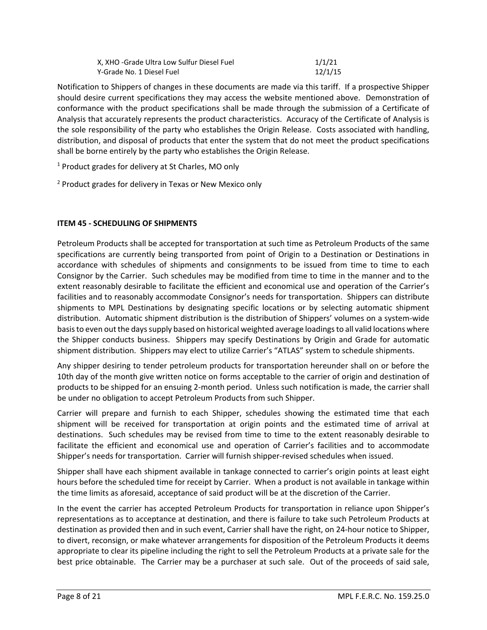| X, XHO -Grade Ultra Low Sulfur Diesel Fuel | 1/1/21  |
|--------------------------------------------|---------|
| Y-Grade No. 1 Diesel Fuel                  | 12/1/15 |

Notification to Shippers of changes in these documents are made via this tariff. If a prospective Shipper should desire current specifications they may access the website mentioned above. Demonstration of conformance with the product specifications shall be made through the submission of a Certificate of Analysis that accurately represents the product characteristics. Accuracy of the Certificate of Analysis is the sole responsibility of the party who establishes the Origin Release. Costs associated with handling, distribution, and disposal of products that enter the system that do not meet the product specifications shall be borne entirely by the party who establishes the Origin Release.

<sup>1</sup> Product grades for delivery at St Charles, MO only

<sup>2</sup> Product grades for delivery in Texas or New Mexico only

## **ITEM 45 - SCHEDULING OF SHIPMENTS**

Petroleum Products shall be accepted for transportation at such time as Petroleum Products of the same specifications are currently being transported from point of Origin to a Destination or Destinations in accordance with schedules of shipments and consignments to be issued from time to time to each Consignor by the Carrier. Such schedules may be modified from time to time in the manner and to the extent reasonably desirable to facilitate the efficient and economical use and operation of the Carrier's facilities and to reasonably accommodate Consignor's needs for transportation. Shippers can distribute shipments to MPL Destinations by designating specific locations or by selecting automatic shipment distribution. Automatic shipment distribution is the distribution of Shippers' volumes on a system-wide basis to even out the days supply based on historical weighted average loadings to all valid locations where the Shipper conducts business. Shippers may specify Destinations by Origin and Grade for automatic shipment distribution. Shippers may elect to utilize Carrier's "ATLAS" system to schedule shipments.

Any shipper desiring to tender petroleum products for transportation hereunder shall on or before the 10th day of the month give written notice on forms acceptable to the carrier of origin and destination of products to be shipped for an ensuing 2-month period. Unless such notification is made, the carrier shall be under no obligation to accept Petroleum Products from such Shipper.

Carrier will prepare and furnish to each Shipper, schedules showing the estimated time that each shipment will be received for transportation at origin points and the estimated time of arrival at destinations. Such schedules may be revised from time to time to the extent reasonably desirable to facilitate the efficient and economical use and operation of Carrier's facilities and to accommodate Shipper's needs for transportation. Carrier will furnish shipper-revised schedules when issued.

Shipper shall have each shipment available in tankage connected to carrier's origin points at least eight hours before the scheduled time for receipt by Carrier. When a product is not available in tankage within the time limits as aforesaid, acceptance of said product will be at the discretion of the Carrier.

In the event the carrier has accepted Petroleum Products for transportation in reliance upon Shipper's representations as to acceptance at destination, and there is failure to take such Petroleum Products at destination as provided then and in such event, Carrier shall have the right, on 24-hour notice to Shipper, to divert, reconsign, or make whatever arrangements for disposition of the Petroleum Products it deems appropriate to clear its pipeline including the right to sell the Petroleum Products at a private sale for the best price obtainable. The Carrier may be a purchaser at such sale. Out of the proceeds of said sale,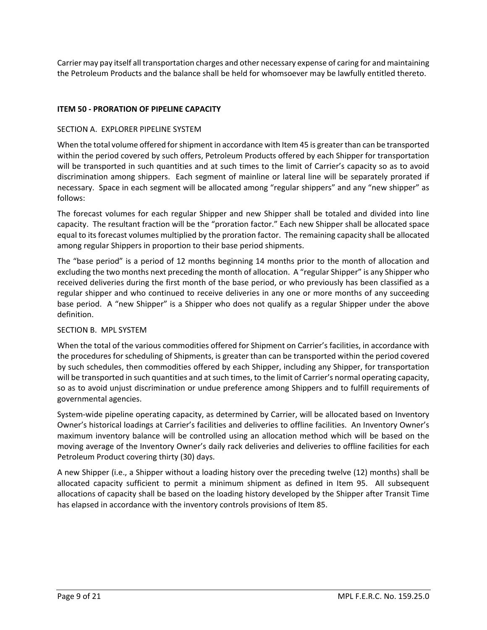Carrier may pay itself all transportation charges and other necessary expense of caring for and maintaining the Petroleum Products and the balance shall be held for whomsoever may be lawfully entitled thereto.

## **ITEM 50 - PRORATION OF PIPELINE CAPACITY**

#### SECTION A. EXPLORER PIPELINE SYSTEM

When the total volume offered for shipment in accordance with Item 45 is greater than can be transported within the period covered by such offers, Petroleum Products offered by each Shipper for transportation will be transported in such quantities and at such times to the limit of Carrier's capacity so as to avoid discrimination among shippers. Each segment of mainline or lateral line will be separately prorated if necessary. Space in each segment will be allocated among "regular shippers" and any "new shipper" as follows:

The forecast volumes for each regular Shipper and new Shipper shall be totaled and divided into line capacity. The resultant fraction will be the "proration factor." Each new Shipper shall be allocated space equal to its forecast volumes multiplied by the proration factor. The remaining capacity shall be allocated among regular Shippers in proportion to their base period shipments.

The "base period" is a period of 12 months beginning 14 months prior to the month of allocation and excluding the two months next preceding the month of allocation. A "regular Shipper" is any Shipper who received deliveries during the first month of the base period, or who previously has been classified as a regular shipper and who continued to receive deliveries in any one or more months of any succeeding base period. A "new Shipper" is a Shipper who does not qualify as a regular Shipper under the above definition.

#### SECTION B. MPL SYSTEM

When the total of the various commodities offered for Shipment on Carrier's facilities, in accordance with the procedures for scheduling of Shipments, is greater than can be transported within the period covered by such schedules, then commodities offered by each Shipper, including any Shipper, for transportation will be transported in such quantities and at such times, to the limit of Carrier's normal operating capacity, so as to avoid unjust discrimination or undue preference among Shippers and to fulfill requirements of governmental agencies.

System-wide pipeline operating capacity, as determined by Carrier, will be allocated based on Inventory Owner's historical loadings at Carrier's facilities and deliveries to offline facilities. An Inventory Owner's maximum inventory balance will be controlled using an allocation method which will be based on the moving average of the Inventory Owner's daily rack deliveries and deliveries to offline facilities for each Petroleum Product covering thirty (30) days.

A new Shipper (i.e., a Shipper without a loading history over the preceding twelve (12) months) shall be allocated capacity sufficient to permit a minimum shipment as defined in Item 95. All subsequent allocations of capacity shall be based on the loading history developed by the Shipper after Transit Time has elapsed in accordance with the inventory controls provisions of Item 85.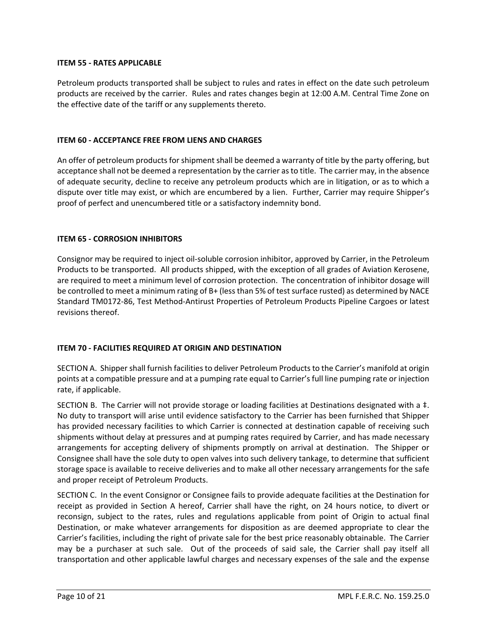#### **ITEM 55 - RATES APPLICABLE**

Petroleum products transported shall be subject to rules and rates in effect on the date such petroleum products are received by the carrier. Rules and rates changes begin at 12:00 A.M. Central Time Zone on the effective date of the tariff or any supplements thereto.

#### **ITEM 60 - ACCEPTANCE FREE FROM LIENS AND CHARGES**

An offer of petroleum products for shipment shall be deemed a warranty of title by the party offering, but acceptance shall not be deemed a representation by the carrier as to title. The carrier may, in the absence of adequate security, decline to receive any petroleum products which are in litigation, or as to which a dispute over title may exist, or which are encumbered by a lien. Further, Carrier may require Shipper's proof of perfect and unencumbered title or a satisfactory indemnity bond.

#### **ITEM 65 - CORROSION INHIBITORS**

Consignor may be required to inject oil-soluble corrosion inhibitor, approved by Carrier, in the Petroleum Products to be transported. All products shipped, with the exception of all grades of Aviation Kerosene, are required to meet a minimum level of corrosion protection. The concentration of inhibitor dosage will be controlled to meet a minimum rating of B+ (less than 5% of test surface rusted) as determined by NACE Standard TM0172-86, Test Method-Antirust Properties of Petroleum Products Pipeline Cargoes or latest revisions thereof.

## **ITEM 70 - FACILITIES REQUIRED AT ORIGIN AND DESTINATION**

SECTION A. Shipper shall furnish facilities to deliver Petroleum Products to the Carrier's manifold at origin points at a compatible pressure and at a pumping rate equal to Carrier's full line pumping rate or injection rate, if applicable.

SECTION B. The Carrier will not provide storage or loading facilities at Destinations designated with a ‡. No duty to transport will arise until evidence satisfactory to the Carrier has been furnished that Shipper has provided necessary facilities to which Carrier is connected at destination capable of receiving such shipments without delay at pressures and at pumping rates required by Carrier, and has made necessary arrangements for accepting delivery of shipments promptly on arrival at destination. The Shipper or Consignee shall have the sole duty to open valves into such delivery tankage, to determine that sufficient storage space is available to receive deliveries and to make all other necessary arrangements for the safe and proper receipt of Petroleum Products.

SECTION C. In the event Consignor or Consignee fails to provide adequate facilities at the Destination for receipt as provided in Section A hereof, Carrier shall have the right, on 24 hours notice, to divert or reconsign, subject to the rates, rules and regulations applicable from point of Origin to actual final Destination, or make whatever arrangements for disposition as are deemed appropriate to clear the Carrier's facilities, including the right of private sale for the best price reasonably obtainable. The Carrier may be a purchaser at such sale. Out of the proceeds of said sale, the Carrier shall pay itself all transportation and other applicable lawful charges and necessary expenses of the sale and the expense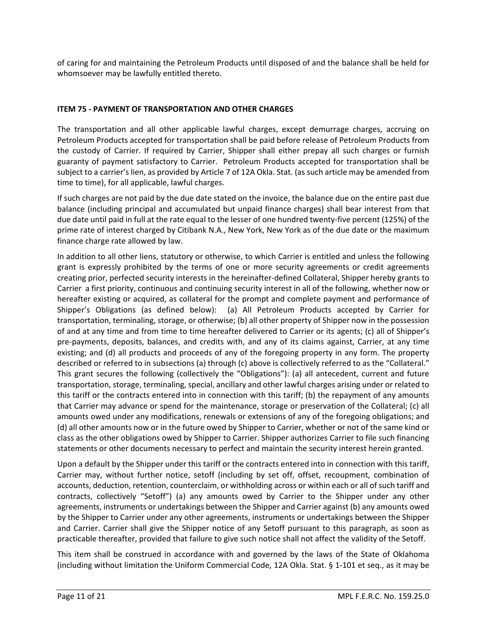of caring for and maintaining the Petroleum Products until disposed of and the balance shall be held for whomsoever may be lawfully entitled thereto.

### **ITEM 75 - PAYMENT OF TRANSPORTATION AND OTHER CHARGES**

The transportation and all other applicable lawful charges, except demurrage charges, accruing on Petroleum Products accepted for transportation shall be paid before release of Petroleum Products from the custody of Carrier. If required by Carrier, Shipper shall either prepay all such charges or furnish guaranty of payment satisfactory to Carrier. Petroleum Products accepted for transportation shall be subject to a carrier's lien, as provided by Article 7 of 12A Okla. Stat. (as such article may be amended from time to time), for all applicable, lawful charges.

If such charges are not paid by the due date stated on the invoice, the balance due on the entire past due balance (including principal and accumulated but unpaid finance charges) shall bear interest from that due date until paid in full at the rate equal to the lesser of one hundred twenty-five percent (125%) of the prime rate of interest charged by Citibank N.A., New York, New York as of the due date or the maximum finance charge rate allowed by law.

In addition to all other liens, statutory or otherwise, to which Carrier is entitled and unless the following grant is expressly prohibited by the terms of one or more security agreements or credit agreements creating prior, perfected security interests in the hereinafter-defined Collateral, Shipper hereby grants to Carrier a first priority, continuous and continuing security interest in all of the following, whether now or hereafter existing or acquired, as collateral for the prompt and complete payment and performance of Shipper's Obligations (as defined below): (a) All Petroleum Products accepted by Carrier for transportation, terminaling, storage, or otherwise; (b) all other property of Shipper now in the possession of and at any time and from time to time hereafter delivered to Carrier or its agents; (c) all of Shipper's pre-payments, deposits, balances, and credits with, and any of its claims against, Carrier, at any time existing; and (d) all products and proceeds of any of the foregoing property in any form. The property described or referred to in subsections (a) through (c) above is collectively referred to as the "Collateral." This grant secures the following (collectively the "Obligations"): (a) all antecedent, current and future transportation, storage, terminaling, special, ancillary and other lawful charges arising under or related to this tariff or the contracts entered into in connection with this tariff; (b) the repayment of any amounts that Carrier may advance or spend for the maintenance, storage or preservation of the Collateral; (c) all amounts owed under any modifications, renewals or extensions of any of the foregoing obligations; and (d) all other amounts now or in the future owed by Shipper to Carrier, whether or not of the same kind or class as the other obligations owed by Shipper to Carrier. Shipper authorizes Carrier to file such financing statements or other documents necessary to perfect and maintain the security interest herein granted.

Upon a default by the Shipper under this tariff or the contracts entered into in connection with this tariff, Carrier may, without further notice, setoff (including by set off, offset, recoupment, combination of accounts, deduction, retention, counterclaim, or withholding across or within each or all of such tariff and contracts, collectively "Setoff") (a) any amounts owed by Carrier to the Shipper under any other agreements, instruments or undertakings between the Shipper and Carrier against (b) any amounts owed by the Shipper to Carrier under any other agreements, instruments or undertakings between the Shipper and Carrier. Carrier shall give the Shipper notice of any Setoff pursuant to this paragraph, as soon as practicable thereafter, provided that failure to give such notice shall not affect the validity of the Setoff.

This item shall be construed in accordance with and governed by the laws of the State of Oklahoma (including without limitation the Uniform Commercial Code, 12A Okla. Stat. § 1-101 et seq., as it may be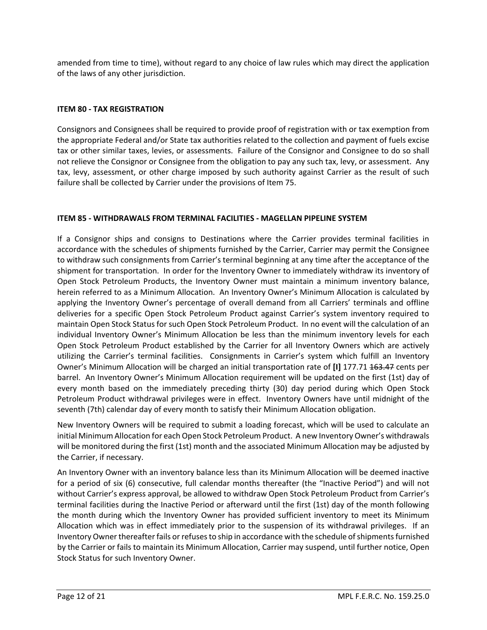amended from time to time), without regard to any choice of law rules which may direct the application of the laws of any other jurisdiction.

## **ITEM 80 - TAX REGISTRATION**

Consignors and Consignees shall be required to provide proof of registration with or tax exemption from the appropriate Federal and/or State tax authorities related to the collection and payment of fuels excise tax or other similar taxes, levies, or assessments. Failure of the Consignor and Consignee to do so shall not relieve the Consignor or Consignee from the obligation to pay any such tax, levy, or assessment. Any tax, levy, assessment, or other charge imposed by such authority against Carrier as the result of such failure shall be collected by Carrier under the provisions of Item 75.

## **ITEM 85 - WITHDRAWALS FROM TERMINAL FACILITIES - MAGELLAN PIPELINE SYSTEM**

If a Consignor ships and consigns to Destinations where the Carrier provides terminal facilities in accordance with the schedules of shipments furnished by the Carrier, Carrier may permit the Consignee to withdraw such consignments from Carrier's terminal beginning at any time after the acceptance of the shipment for transportation. In order for the Inventory Owner to immediately withdraw its inventory of Open Stock Petroleum Products, the Inventory Owner must maintain a minimum inventory balance, herein referred to as a Minimum Allocation. An Inventory Owner's Minimum Allocation is calculated by applying the Inventory Owner's percentage of overall demand from all Carriers' terminals and offline deliveries for a specific Open Stock Petroleum Product against Carrier's system inventory required to maintain Open Stock Status for such Open Stock Petroleum Product. In no event will the calculation of an individual Inventory Owner's Minimum Allocation be less than the minimum inventory levels for each Open Stock Petroleum Product established by the Carrier for all Inventory Owners which are actively utilizing the Carrier's terminal facilities. Consignments in Carrier's system which fulfill an Inventory Owner's Minimum Allocation will be charged an initial transportation rate of [I] 177.71 163.47 cents per barrel. An Inventory Owner's Minimum Allocation requirement will be updated on the first (1st) day of every month based on the immediately preceding thirty (30) day period during which Open Stock Petroleum Product withdrawal privileges were in effect. Inventory Owners have until midnight of the seventh (7th) calendar day of every month to satisfy their Minimum Allocation obligation.

New Inventory Owners will be required to submit a loading forecast, which will be used to calculate an initial Minimum Allocation for each Open Stock Petroleum Product. A new Inventory Owner's withdrawals will be monitored during the first (1st) month and the associated Minimum Allocation may be adjusted by the Carrier, if necessary.

An Inventory Owner with an inventory balance less than its Minimum Allocation will be deemed inactive for a period of six (6) consecutive, full calendar months thereafter (the "Inactive Period") and will not without Carrier's express approval, be allowed to withdraw Open Stock Petroleum Product from Carrier's terminal facilities during the Inactive Period or afterward until the first (1st) day of the month following the month during which the Inventory Owner has provided sufficient inventory to meet its Minimum Allocation which was in effect immediately prior to the suspension of its withdrawal privileges. If an Inventory Owner thereafter fails or refuses to ship in accordance with the schedule of shipments furnished by the Carrier or fails to maintain its Minimum Allocation, Carrier may suspend, until further notice, Open Stock Status for such Inventory Owner.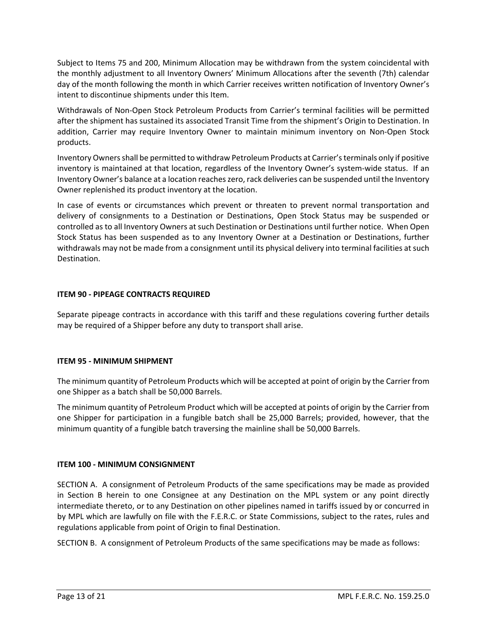Subject to Items 75 and 200, Minimum Allocation may be withdrawn from the system coincidental with the monthly adjustment to all Inventory Owners' Minimum Allocations after the seventh (7th) calendar day of the month following the month in which Carrier receives written notification of Inventory Owner's intent to discontinue shipments under this Item.

Withdrawals of Non-Open Stock Petroleum Products from Carrier's terminal facilities will be permitted after the shipment has sustained its associated Transit Time from the shipment's Origin to Destination. In addition, Carrier may require Inventory Owner to maintain minimum inventory on Non-Open Stock products.

Inventory Owners shall be permitted to withdraw Petroleum Products at Carrier's terminals only if positive inventory is maintained at that location, regardless of the Inventory Owner's system-wide status. If an Inventory Owner's balance at a location reaches zero, rack deliveries can be suspended until the Inventory Owner replenished its product inventory at the location.

In case of events or circumstances which prevent or threaten to prevent normal transportation and delivery of consignments to a Destination or Destinations, Open Stock Status may be suspended or controlled as to all Inventory Owners at such Destination or Destinations until further notice. When Open Stock Status has been suspended as to any Inventory Owner at a Destination or Destinations, further withdrawals may not be made from a consignment until its physical delivery into terminal facilities at such Destination.

#### **ITEM 90 - PIPEAGE CONTRACTS REQUIRED**

Separate pipeage contracts in accordance with this tariff and these regulations covering further details may be required of a Shipper before any duty to transport shall arise.

#### **ITEM 95 - MINIMUM SHIPMENT**

The minimum quantity of Petroleum Products which will be accepted at point of origin by the Carrier from one Shipper as a batch shall be 50,000 Barrels.

The minimum quantity of Petroleum Product which will be accepted at points of origin by the Carrier from one Shipper for participation in a fungible batch shall be 25,000 Barrels; provided, however, that the minimum quantity of a fungible batch traversing the mainline shall be 50,000 Barrels.

#### **ITEM 100 - MINIMUM CONSIGNMENT**

SECTION A. A consignment of Petroleum Products of the same specifications may be made as provided in Section B herein to one Consignee at any Destination on the MPL system or any point directly intermediate thereto, or to any Destination on other pipelines named in tariffs issued by or concurred in by MPL which are lawfully on file with the F.E.R.C. or State Commissions, subject to the rates, rules and regulations applicable from point of Origin to final Destination.

SECTION B. A consignment of Petroleum Products of the same specifications may be made as follows: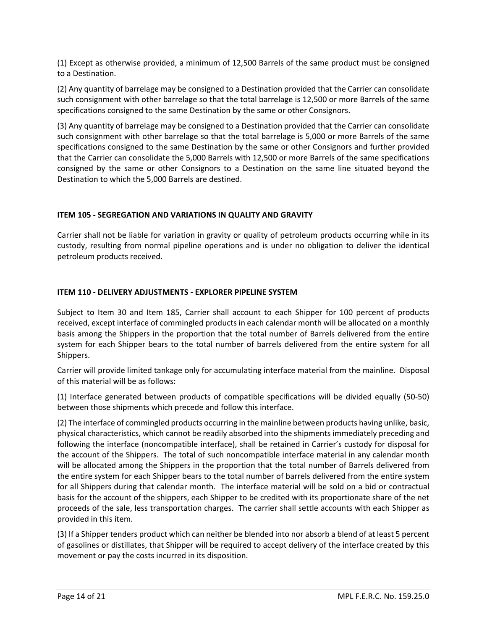(1) Except as otherwise provided, a minimum of 12,500 Barrels of the same product must be consigned to a Destination.

(2) Any quantity of barrelage may be consigned to a Destination provided that the Carrier can consolidate such consignment with other barrelage so that the total barrelage is 12,500 or more Barrels of the same specifications consigned to the same Destination by the same or other Consignors.

(3) Any quantity of barrelage may be consigned to a Destination provided that the Carrier can consolidate such consignment with other barrelage so that the total barrelage is 5,000 or more Barrels of the same specifications consigned to the same Destination by the same or other Consignors and further provided that the Carrier can consolidate the 5,000 Barrels with 12,500 or more Barrels of the same specifications consigned by the same or other Consignors to a Destination on the same line situated beyond the Destination to which the 5,000 Barrels are destined.

#### **ITEM 105 - SEGREGATION AND VARIATIONS IN QUALITY AND GRAVITY**

Carrier shall not be liable for variation in gravity or quality of petroleum products occurring while in its custody, resulting from normal pipeline operations and is under no obligation to deliver the identical petroleum products received.

#### **ITEM 110 - DELIVERY ADJUSTMENTS - EXPLORER PIPELINE SYSTEM**

Subject to Item 30 and Item 185, Carrier shall account to each Shipper for 100 percent of products received, except interface of commingled products in each calendar month will be allocated on a monthly basis among the Shippers in the proportion that the total number of Barrels delivered from the entire system for each Shipper bears to the total number of barrels delivered from the entire system for all Shippers.

Carrier will provide limited tankage only for accumulating interface material from the mainline. Disposal of this material will be as follows:

(1) Interface generated between products of compatible specifications will be divided equally (50-50) between those shipments which precede and follow this interface.

(2) The interface of commingled products occurring in the mainline between products having unlike, basic, physical characteristics, which cannot be readily absorbed into the shipments immediately preceding and following the interface (noncompatible interface), shall be retained in Carrier's custody for disposal for the account of the Shippers. The total of such noncompatible interface material in any calendar month will be allocated among the Shippers in the proportion that the total number of Barrels delivered from the entire system for each Shipper bears to the total number of barrels delivered from the entire system for all Shippers during that calendar month. The interface material will be sold on a bid or contractual basis for the account of the shippers, each Shipper to be credited with its proportionate share of the net proceeds of the sale, less transportation charges. The carrier shall settle accounts with each Shipper as provided in this item.

(3) If a Shipper tenders product which can neither be blended into nor absorb a blend of at least 5 percent of gasolines or distillates, that Shipper will be required to accept delivery of the interface created by this movement or pay the costs incurred in its disposition.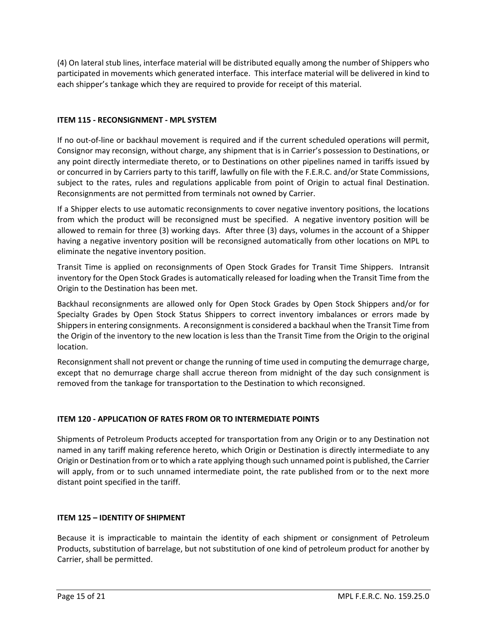(4) On lateral stub lines, interface material will be distributed equally among the number of Shippers who participated in movements which generated interface. This interface material will be delivered in kind to each shipper's tankage which they are required to provide for receipt of this material.

## **ITEM 115 - RECONSIGNMENT - MPL SYSTEM**

If no out-of-line or backhaul movement is required and if the current scheduled operations will permit, Consignor may reconsign, without charge, any shipment that is in Carrier's possession to Destinations, or any point directly intermediate thereto, or to Destinations on other pipelines named in tariffs issued by or concurred in by Carriers party to this tariff, lawfully on file with the F.E.R.C. and/or State Commissions, subject to the rates, rules and regulations applicable from point of Origin to actual final Destination. Reconsignments are not permitted from terminals not owned by Carrier.

If a Shipper elects to use automatic reconsignments to cover negative inventory positions, the locations from which the product will be reconsigned must be specified. A negative inventory position will be allowed to remain for three (3) working days. After three (3) days, volumes in the account of a Shipper having a negative inventory position will be reconsigned automatically from other locations on MPL to eliminate the negative inventory position.

Transit Time is applied on reconsignments of Open Stock Grades for Transit Time Shippers. Intransit inventory for the Open Stock Grades is automatically released for loading when the Transit Time from the Origin to the Destination has been met.

Backhaul reconsignments are allowed only for Open Stock Grades by Open Stock Shippers and/or for Specialty Grades by Open Stock Status Shippers to correct inventory imbalances or errors made by Shippers in entering consignments. A reconsignment is considered a backhaul when the Transit Time from the Origin of the inventory to the new location is less than the Transit Time from the Origin to the original location.

Reconsignment shall not prevent or change the running of time used in computing the demurrage charge, except that no demurrage charge shall accrue thereon from midnight of the day such consignment is removed from the tankage for transportation to the Destination to which reconsigned.

## **ITEM 120 - APPLICATION OF RATES FROM OR TO INTERMEDIATE POINTS**

Shipments of Petroleum Products accepted for transportation from any Origin or to any Destination not named in any tariff making reference hereto, which Origin or Destination is directly intermediate to any Origin or Destination from or to which a rate applying though such unnamed point is published, the Carrier will apply, from or to such unnamed intermediate point, the rate published from or to the next more distant point specified in the tariff.

## **ITEM 125 – IDENTITY OF SHIPMENT**

Because it is impracticable to maintain the identity of each shipment or consignment of Petroleum Products, substitution of barrelage, but not substitution of one kind of petroleum product for another by Carrier, shall be permitted.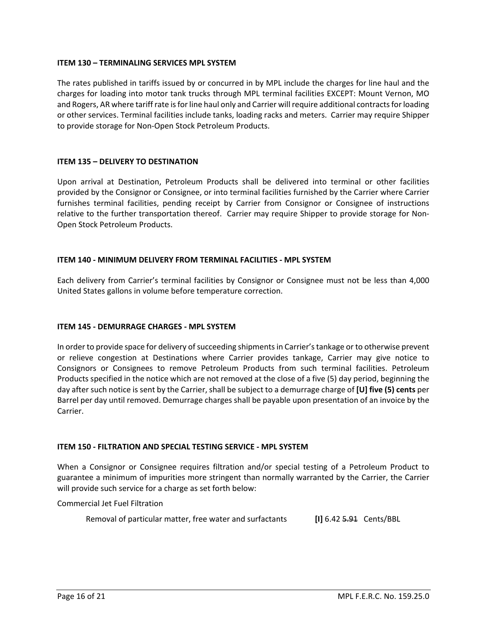#### **ITEM 130 – TERMINALING SERVICES MPL SYSTEM**

The rates published in tariffs issued by or concurred in by MPL include the charges for line haul and the charges for loading into motor tank trucks through MPL terminal facilities EXCEPT: Mount Vernon, MO and Rogers, AR where tariff rate is for line haul only and Carrier will require additional contracts for loading or other services. Terminal facilities include tanks, loading racks and meters. Carrier may require Shipper to provide storage for Non-Open Stock Petroleum Products.

#### **ITEM 135 – DELIVERY TO DESTINATION**

Upon arrival at Destination, Petroleum Products shall be delivered into terminal or other facilities provided by the Consignor or Consignee, or into terminal facilities furnished by the Carrier where Carrier furnishes terminal facilities, pending receipt by Carrier from Consignor or Consignee of instructions relative to the further transportation thereof. Carrier may require Shipper to provide storage for Non-Open Stock Petroleum Products.

#### **ITEM 140 - MINIMUM DELIVERY FROM TERMINAL FACILITIES - MPL SYSTEM**

Each delivery from Carrier's terminal facilities by Consignor or Consignee must not be less than 4,000 United States gallons in volume before temperature correction.

#### **ITEM 145 - DEMURRAGE CHARGES - MPL SYSTEM**

In order to provide space for delivery of succeeding shipments in Carrier's tankage or to otherwise prevent or relieve congestion at Destinations where Carrier provides tankage, Carrier may give notice to Consignors or Consignees to remove Petroleum Products from such terminal facilities. Petroleum Products specified in the notice which are not removed at the close of a five (5) day period, beginning the day after such notice is sent by the Carrier, shall be subject to a demurrage charge of **[U] five (5) cents** per Barrel per day until removed. Demurrage charges shall be payable upon presentation of an invoice by the Carrier.

#### **ITEM 150 - FILTRATION AND SPECIAL TESTING SERVICE - MPL SYSTEM**

When a Consignor or Consignee requires filtration and/or special testing of a Petroleum Product to guarantee a minimum of impurities more stringent than normally warranted by the Carrier, the Carrier will provide such service for a charge as set forth below:

Commercial Jet Fuel Filtration

Removal of particular matter, free water and surfactants **[I]** 6.42 5.91 Cents/BBL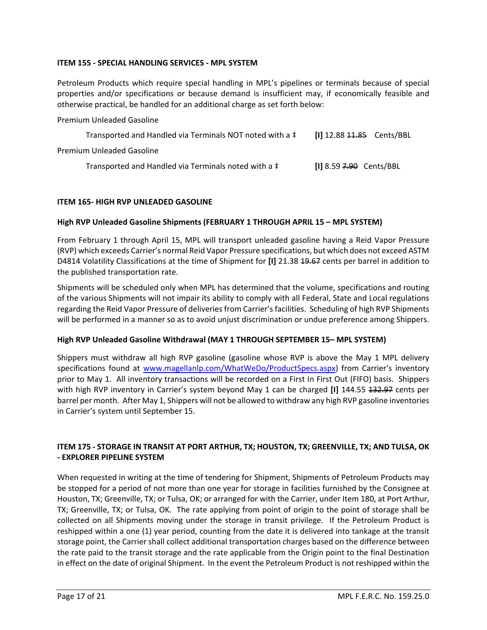#### **ITEM 155 - SPECIAL HANDLING SERVICES - MPL SYSTEM**

Petroleum Products which require special handling in MPL's pipelines or terminals because of special properties and/or specifications or because demand is insufficient may, if economically feasible and otherwise practical, be handled for an additional charge as set forth below:

Premium Unleaded Gasoline

| Transported and Handled via Terminals NOT noted with a ‡ |                           |  |
|----------------------------------------------------------|---------------------------|--|
| Premium Unleaded Gasoline                                |                           |  |
| Transported and Handled via Terminals noted with a ‡     | $[1]$ 8.59 7.90 Cents/BBL |  |

#### **ITEM 165- HIGH RVP UNLEADED GASOLINE**

#### **High RVP Unleaded Gasoline Shipments (FEBRUARY 1 THROUGH APRIL 15 – MPL SYSTEM)**

From February 1 through April 15, MPL will transport unleaded gasoline having a Reid Vapor Pressure (RVP) which exceeds Carrier's normal Reid Vapor Pressure specifications, but which does not exceed ASTM D4814 Volatility Classifications at the time of Shipment for **[I]** 21.38 19.67 cents per barrel in addition to the published transportation rate.

Shipments will be scheduled only when MPL has determined that the volume, specifications and routing of the various Shipments will not impair its ability to comply with all Federal, State and Local regulations regarding the Reid Vapor Pressure of deliveries from Carrier's facilities. Scheduling of high RVP Shipments will be performed in a manner so as to avoid unjust discrimination or undue preference among Shippers.

#### **High RVP Unleaded Gasoline Withdrawal (MAY 1 THROUGH SEPTEMBER 15– MPL SYSTEM)**

Shippers must withdraw all high RVP gasoline (gasoline whose RVP is above the May 1 MPL delivery specifications found at [www.magellanlp.com/WhatWeDo/ProductSpecs.aspx\)](http://www.magellanlp.com/WhatWeDo/ProductSpecs.aspx) from Carrier's inventory prior to May 1. All inventory transactions will be recorded on a First In First Out (FIFO) basis. Shippers with high RVP inventory in Carrier's system beyond May 1 can be charged [I] 144.55 132.97 cents per barrel per month. After May 1, Shippers will not be allowed to withdraw any high RVP gasoline inventories in Carrier's system until September 15.

#### **ITEM 175 - STORAGE IN TRANSIT AT PORT ARTHUR, TX; HOUSTON, TX; GREENVILLE, TX; AND TULSA, OK - EXPLORER PIPELINE SYSTEM**

When requested in writing at the time of tendering for Shipment, Shipments of Petroleum Products may be stopped for a period of not more than one year for storage in facilities furnished by the Consignee at Houston, TX; Greenville, TX; or Tulsa, OK; or arranged for with the Carrier, under Item 180, at Port Arthur, TX; Greenville, TX; or Tulsa, OK. The rate applying from point of origin to the point of storage shall be collected on all Shipments moving under the storage in transit privilege. If the Petroleum Product is reshipped within a one (1) year period, counting from the date it is delivered into tankage at the transit storage point, the Carrier shall collect additional transportation charges based on the difference between the rate paid to the transit storage and the rate applicable from the Origin point to the final Destination in effect on the date of original Shipment. In the event the Petroleum Product is not reshipped within the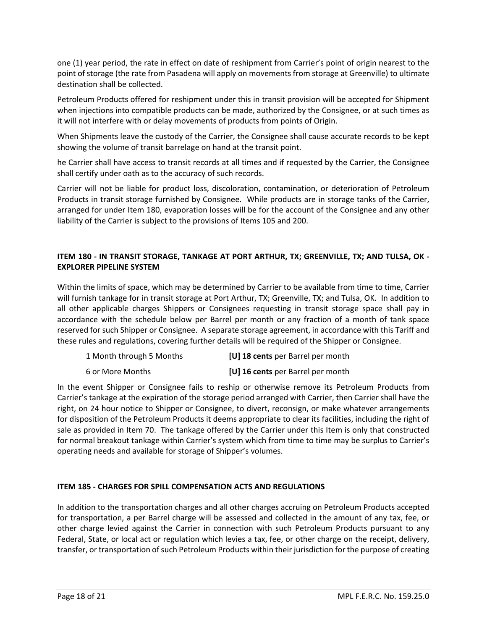one (1) year period, the rate in effect on date of reshipment from Carrier's point of origin nearest to the point of storage (the rate from Pasadena will apply on movements from storage at Greenville) to ultimate destination shall be collected.

Petroleum Products offered for reshipment under this in transit provision will be accepted for Shipment when injections into compatible products can be made, authorized by the Consignee, or at such times as it will not interfere with or delay movements of products from points of Origin.

When Shipments leave the custody of the Carrier, the Consignee shall cause accurate records to be kept showing the volume of transit barrelage on hand at the transit point.

he Carrier shall have access to transit records at all times and if requested by the Carrier, the Consignee shall certify under oath as to the accuracy of such records.

Carrier will not be liable for product loss, discoloration, contamination, or deterioration of Petroleum Products in transit storage furnished by Consignee. While products are in storage tanks of the Carrier, arranged for under Item 180, evaporation losses will be for the account of the Consignee and any other liability of the Carrier is subject to the provisions of Items 105 and 200.

### **ITEM 180 - IN TRANSIT STORAGE, TANKAGE AT PORT ARTHUR, TX; GREENVILLE, TX; AND TULSA, OK - EXPLORER PIPELINE SYSTEM**

Within the limits of space, which may be determined by Carrier to be available from time to time, Carrier will furnish tankage for in transit storage at Port Arthur, TX; Greenville, TX; and Tulsa, OK. In addition to all other applicable charges Shippers or Consignees requesting in transit storage space shall pay in accordance with the schedule below per Barrel per month or any fraction of a month of tank space reserved for such Shipper or Consignee. A separate storage agreement, in accordance with this Tariff and these rules and regulations, covering further details will be required of the Shipper or Consignee.

| 1 Month through 5 Months | [U] 18 cents per Barrel per month |
|--------------------------|-----------------------------------|
| 6 or More Months         | [U] 16 cents per Barrel per month |

In the event Shipper or Consignee fails to reship or otherwise remove its Petroleum Products from Carrier's tankage at the expiration of the storage period arranged with Carrier, then Carrier shall have the right, on 24 hour notice to Shipper or Consignee, to divert, reconsign, or make whatever arrangements for disposition of the Petroleum Products it deems appropriate to clear its facilities, including the right of sale as provided in Item 70. The tankage offered by the Carrier under this Item is only that constructed for normal breakout tankage within Carrier's system which from time to time may be surplus to Carrier's operating needs and available for storage of Shipper's volumes.

## **ITEM 185 - CHARGES FOR SPILL COMPENSATION ACTS AND REGULATIONS**

In addition to the transportation charges and all other charges accruing on Petroleum Products accepted for transportation, a per Barrel charge will be assessed and collected in the amount of any tax, fee, or other charge levied against the Carrier in connection with such Petroleum Products pursuant to any Federal, State, or local act or regulation which levies a tax, fee, or other charge on the receipt, delivery, transfer, or transportation of such Petroleum Products within their jurisdiction for the purpose of creating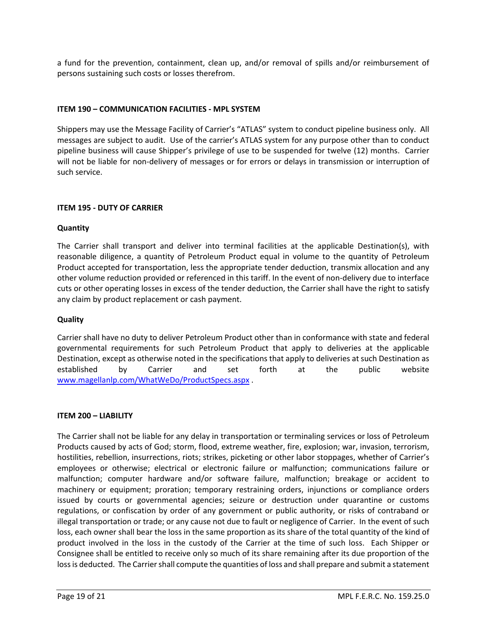a fund for the prevention, containment, clean up, and/or removal of spills and/or reimbursement of persons sustaining such costs or losses therefrom.

#### **ITEM 190 – COMMUNICATION FACILITIES - MPL SYSTEM**

Shippers may use the Message Facility of Carrier's "ATLAS" system to conduct pipeline business only. All messages are subject to audit. Use of the carrier's ATLAS system for any purpose other than to conduct pipeline business will cause Shipper's privilege of use to be suspended for twelve (12) months. Carrier will not be liable for non-delivery of messages or for errors or delays in transmission or interruption of such service.

#### **ITEM 195 - DUTY OF CARRIER**

#### **Quantity**

The Carrier shall transport and deliver into terminal facilities at the applicable Destination(s), with reasonable diligence, a quantity of Petroleum Product equal in volume to the quantity of Petroleum Product accepted for transportation, less the appropriate tender deduction, transmix allocation and any other volume reduction provided or referenced in this tariff. In the event of non-delivery due to interface cuts or other operating losses in excess of the tender deduction, the Carrier shall have the right to satisfy any claim by product replacement or cash payment.

#### **Quality**

Carrier shall have no duty to deliver Petroleum Product other than in conformance with state and federal governmental requirements for such Petroleum Product that apply to deliveries at the applicable Destination, except as otherwise noted in the specifications that apply to deliveries at such Destination as established by Carrier and set forth at the public website [www.magellanlp.com/WhatWeDo/ProductSpecs.aspx](http://www.magellanlp.com/WhatWeDo/ProductSpecs.aspx) .

#### **ITEM 200 – LIABILITY**

The Carrier shall not be liable for any delay in transportation or terminaling services or loss of Petroleum Products caused by acts of God; storm, flood, extreme weather, fire, explosion; war, invasion, terrorism, hostilities, rebellion, insurrections, riots; strikes, picketing or other labor stoppages, whether of Carrier's employees or otherwise; electrical or electronic failure or malfunction; communications failure or malfunction; computer hardware and/or software failure, malfunction; breakage or accident to machinery or equipment; proration; temporary restraining orders, injunctions or compliance orders issued by courts or governmental agencies; seizure or destruction under quarantine or customs regulations, or confiscation by order of any government or public authority, or risks of contraband or illegal transportation or trade; or any cause not due to fault or negligence of Carrier. In the event of such loss, each owner shall bear the loss in the same proportion as its share of the total quantity of the kind of product involved in the loss in the custody of the Carrier at the time of such loss. Each Shipper or Consignee shall be entitled to receive only so much of its share remaining after its due proportion of the loss is deducted. The Carrier shall compute the quantities of loss and shall prepare and submit a statement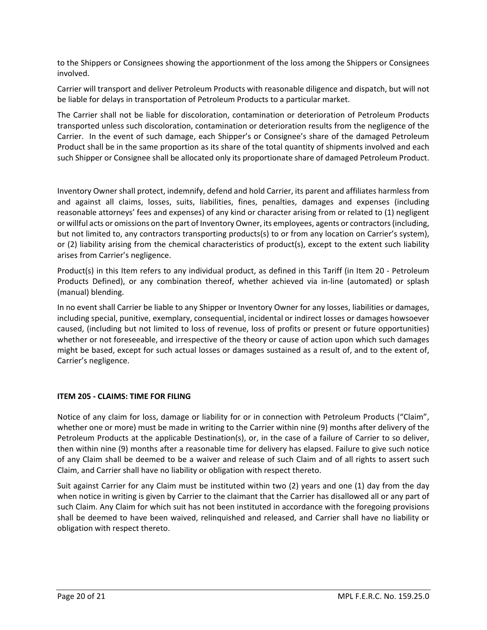to the Shippers or Consignees showing the apportionment of the loss among the Shippers or Consignees involved.

Carrier will transport and deliver Petroleum Products with reasonable diligence and dispatch, but will not be liable for delays in transportation of Petroleum Products to a particular market.

The Carrier shall not be liable for discoloration, contamination or deterioration of Petroleum Products transported unless such discoloration, contamination or deterioration results from the negligence of the Carrier. In the event of such damage, each Shipper's or Consignee's share of the damaged Petroleum Product shall be in the same proportion as its share of the total quantity of shipments involved and each such Shipper or Consignee shall be allocated only its proportionate share of damaged Petroleum Product.

Inventory Owner shall protect, indemnify, defend and hold Carrier, its parent and affiliates harmless from and against all claims, losses, suits, liabilities, fines, penalties, damages and expenses (including reasonable attorneys' fees and expenses) of any kind or character arising from or related to (1) negligent or willful acts or omissions on the part of Inventory Owner, its employees, agents or contractors (including, but not limited to, any contractors transporting products(s) to or from any location on Carrier's system), or (2) liability arising from the chemical characteristics of product(s), except to the extent such liability arises from Carrier's negligence.

Product(s) in this Item refers to any individual product, as defined in this Tariff (in Item 20 - Petroleum Products Defined), or any combination thereof, whether achieved via in-line (automated) or splash (manual) blending.

In no event shall Carrier be liable to any Shipper or Inventory Owner for any losses, liabilities or damages, including special, punitive, exemplary, consequential, incidental or indirect losses or damages howsoever caused, (including but not limited to loss of revenue, loss of profits or present or future opportunities) whether or not foreseeable, and irrespective of the theory or cause of action upon which such damages might be based, except for such actual losses or damages sustained as a result of, and to the extent of, Carrier's negligence.

#### **ITEM 205 - CLAIMS: TIME FOR FILING**

Notice of any claim for loss, damage or liability for or in connection with Petroleum Products ("Claim", whether one or more) must be made in writing to the Carrier within nine (9) months after delivery of the Petroleum Products at the applicable Destination(s), or, in the case of a failure of Carrier to so deliver, then within nine (9) months after a reasonable time for delivery has elapsed. Failure to give such notice of any Claim shall be deemed to be a waiver and release of such Claim and of all rights to assert such Claim, and Carrier shall have no liability or obligation with respect thereto.

Suit against Carrier for any Claim must be instituted within two (2) years and one (1) day from the day when notice in writing is given by Carrier to the claimant that the Carrier has disallowed all or any part of such Claim. Any Claim for which suit has not been instituted in accordance with the foregoing provisions shall be deemed to have been waived, relinquished and released, and Carrier shall have no liability or obligation with respect thereto.